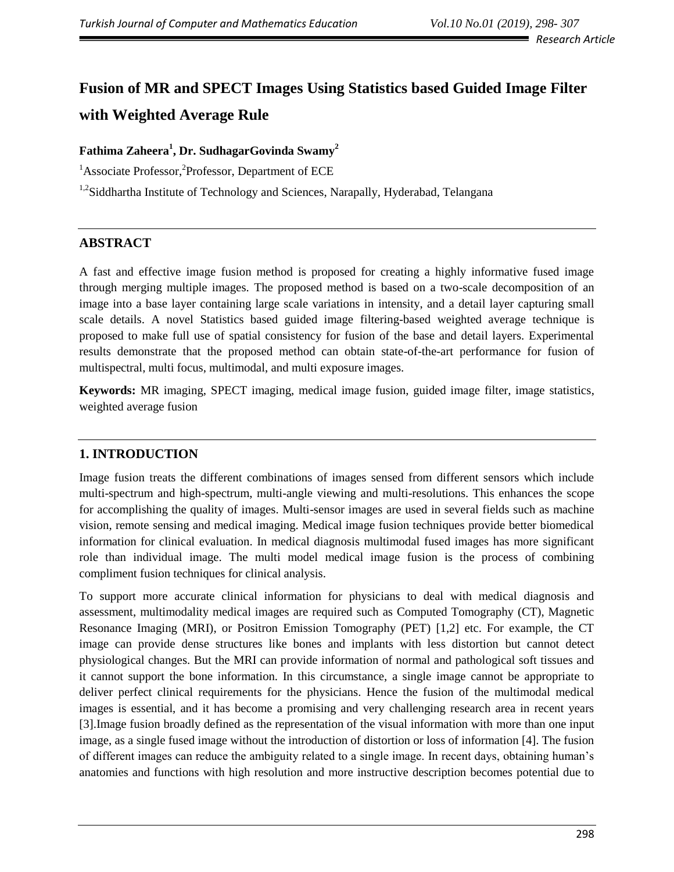*Research Article*

# **Fusion of MR and SPECT Images Using Statistics based Guided Image Filter with Weighted Average Rule**

# **Fathima Zaheera<sup>1</sup> , Dr. SudhagarGovinda Swamy<sup>2</sup>**

<sup>1</sup>Associate Professor,<sup>2</sup>Professor, Department of ECE

<sup>1,2</sup>Siddhartha Institute of Technology and Sciences, Narapally, Hyderabad, Telangana

# **ABSTRACT**

A fast and effective image fusion method is proposed for creating a highly informative fused image through merging multiple images. The proposed method is based on a two-scale decomposition of an image into a base layer containing large scale variations in intensity, and a detail layer capturing small scale details. A novel Statistics based guided image filtering-based weighted average technique is proposed to make full use of spatial consistency for fusion of the base and detail layers. Experimental results demonstrate that the proposed method can obtain state-of-the-art performance for fusion of multispectral, multi focus, multimodal, and multi exposure images.

**Keywords:** MR imaging, SPECT imaging, medical image fusion, guided image filter, image statistics, weighted average fusion

# **1. INTRODUCTION**

Image fusion treats the different combinations of images sensed from different sensors which include multi-spectrum and high-spectrum, multi-angle viewing and multi-resolutions. This enhances the scope for accomplishing the quality of images. Multi-sensor images are used in several fields such as machine vision, remote sensing and medical imaging. Medical image fusion techniques provide better biomedical information for clinical evaluation. In medical diagnosis multimodal fused images has more significant role than individual image. The multi model medical image fusion is the process of combining compliment fusion techniques for clinical analysis.

To support more accurate clinical information for physicians to deal with medical diagnosis and assessment, multimodality medical images are required such as Computed Tomography (CT), Magnetic Resonance Imaging (MRI), or Positron Emission Tomography (PET) [1,2] etc. For example, the CT image can provide dense structures like bones and implants with less distortion but cannot detect physiological changes. But the MRI can provide information of normal and pathological soft tissues and it cannot support the bone information. In this circumstance, a single image cannot be appropriate to deliver perfect clinical requirements for the physicians. Hence the fusion of the multimodal medical images is essential, and it has become a promising and very challenging research area in recent years [3].Image fusion broadly defined as the representation of the visual information with more than one input image, as a single fused image without the introduction of distortion or loss of information [4]. The fusion of different images can reduce the ambiguity related to a single image. In recent days, obtaining human's anatomies and functions with high resolution and more instructive description becomes potential due to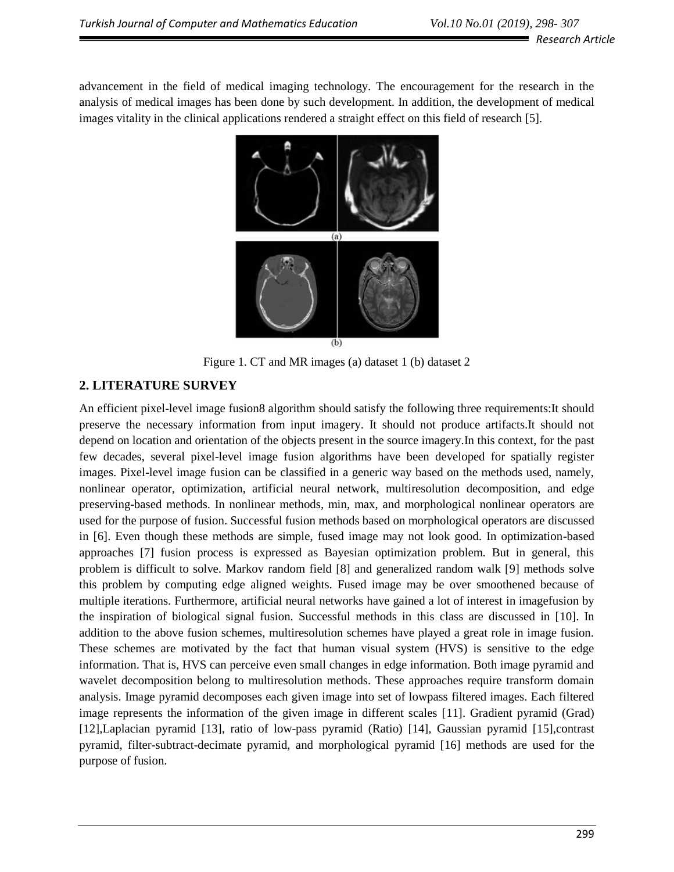advancement in the field of medical imaging technology. The encouragement for the research in the analysis of medical images has been done by such development. In addition, the development of medical images vitality in the clinical applications rendered a straight effect on this field of research [5].



Figure 1. CT and MR images (a) dataset 1 (b) dataset 2

# **2. LITERATURE SURVEY**

An efficient pixel-level image fusion8 algorithm should satisfy the following three requirements:It should preserve the necessary information from input imagery. It should not produce artifacts.It should not depend on location and orientation of the objects present in the source imagery.In this context, for the past few decades, several pixel-level image fusion algorithms have been developed for spatially register images. Pixel-level image fusion can be classified in a generic way based on the methods used, namely, nonlinear operator, optimization, artificial neural network, multiresolution decomposition, and edge preserving-based methods. In nonlinear methods, min, max, and morphological nonlinear operators are used for the purpose of fusion. Successful fusion methods based on morphological operators are discussed in [6]. Even though these methods are simple, fused image may not look good. In optimization-based approaches [7] fusion process is expressed as Bayesian optimization problem. But in general, this problem is difficult to solve. Markov random field [8] and generalized random walk [9] methods solve this problem by computing edge aligned weights. Fused image may be over smoothened because of multiple iterations. Furthermore, artificial neural networks have gained a lot of interest in imagefusion by the inspiration of biological signal fusion. Successful methods in this class are discussed in [10]. In addition to the above fusion schemes, multiresolution schemes have played a great role in image fusion. These schemes are motivated by the fact that human visual system (HVS) is sensitive to the edge information. That is, HVS can perceive even small changes in edge information. Both image pyramid and wavelet decomposition belong to multiresolution methods. These approaches require transform domain analysis. Image pyramid decomposes each given image into set of lowpass filtered images. Each filtered image represents the information of the given image in different scales [11]. Gradient pyramid (Grad) [12],Laplacian pyramid [13], ratio of low-pass pyramid (Ratio) [14], Gaussian pyramid [15],contrast pyramid, filter-subtract-decimate pyramid, and morphological pyramid [16] methods are used for the purpose of fusion.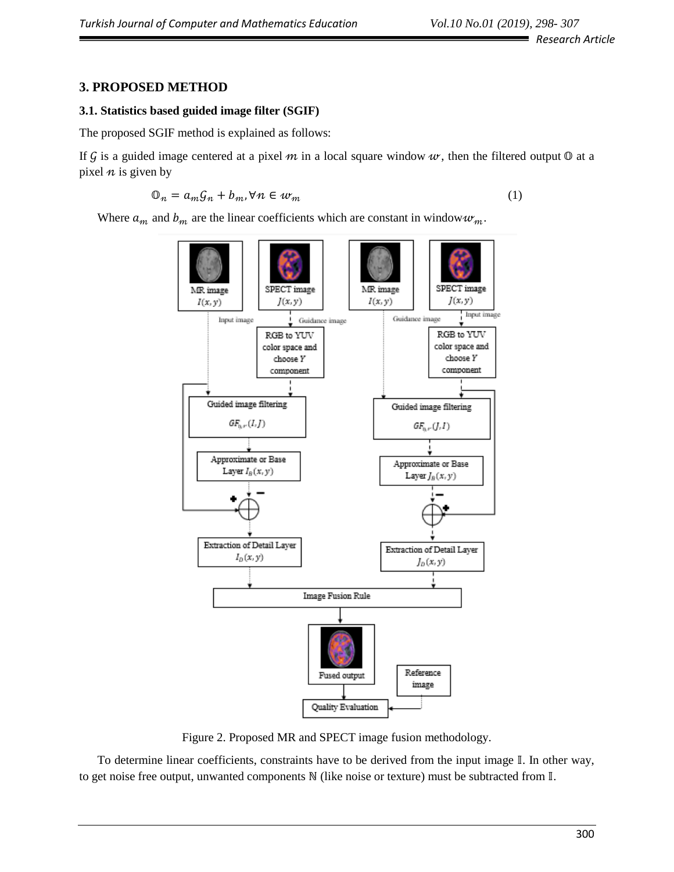# **3. PROPOSED METHOD**

#### **3.1. Statistics based guided image filter (SGIF)**

The proposed SGIF method is explained as follows:

If G is a guided image centered at a pixel  $m$  in a local square window  $w$ , then the filtered output  $\mathbb O$  at a pixel  $n$  is given by

$$
\mathbb{O}_n = a_m \mathcal{G}_n + b_m, \forall n \in w_m \tag{1}
$$

Where  $a_m$  and  $b_m$  are the linear coefficients which are constant in window  $w_m$ .



Figure 2. Proposed MR and SPECT image fusion methodology.

To determine linear coefficients, constraints have to be derived from the input image  $\mathbb{I}$ . In other way, to get noise free output, unwanted components N (like noise or texture) must be subtracted from  $\mathbb{I}$ .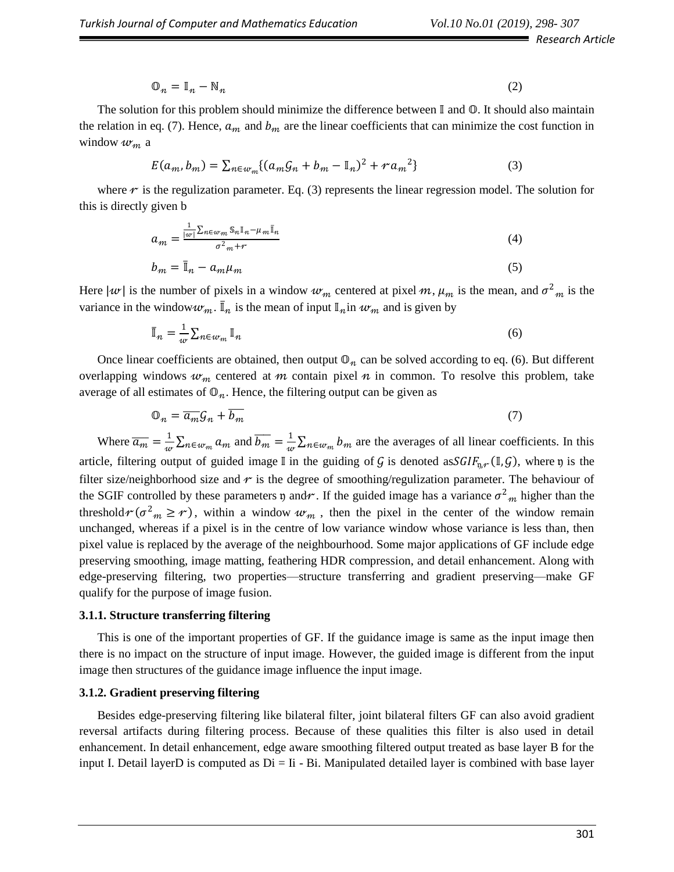*Research Article*

$$
\mathbb{O}_n = \mathbb{I}_n - \mathbb{N}_n \tag{2}
$$

The solution for this problem should minimize the difference between  $\mathbb I$  and  $\mathbb O$ . It should also maintain the relation in eq. (7). Hence,  $a_m$  and  $b_m$  are the linear coefficients that can minimize the cost function in window  $w_m$  a

$$
E(a_m, b_m) = \sum_{n \in w_m} \{ (a_m \mathcal{G}_n + b_m - \mathbb{I}_n)^2 + r a_m^2 \}
$$
 (3)

where  $\tau$  is the regulization parameter. Eq. (3) represents the linear regression model. The solution for this is directly given b

$$
a_m = \frac{\frac{1}{|w|} \sum_{n \in w_m} \mathbb{S}_n \mathbb{I}_n - \mu_m \mathbb{I}_n}{\sigma^2_m + r}
$$
(4)

$$
b_m = \bar{\mathbb{I}}_n - a_m \mu_m \tag{5}
$$

Here  $|w|$  is the number of pixels in a window  $w_m$  centered at pixel  $m$ ,  $\mu_m$  is the mean, and  $\sigma_{m}^2$  is the variance in the window  $w_m$ .  $\bar{I}_n$  is the mean of input  $I_n$  in  $w_m$  and is given by

$$
\bar{\mathbb{I}}_n = \frac{1}{w} \sum_{n \in w_m} \mathbb{I}_n \tag{6}
$$

Once linear coefficients are obtained, then output  $\mathbb{O}_n$  can be solved according to eq. (6). But different overlapping windows  $w_m$  centered at m contain pixel n in common. To resolve this problem, take average of all estimates of  $\mathbb{O}_n$ . Hence, the filtering output can be given as

$$
\mathbb{O}_n = \overline{a_m} \mathcal{G}_n + \overline{b_m} \tag{7}
$$

Where  $\overline{a_m} = \frac{1}{m}$  $\frac{1}{w} \sum_{n \in w_m} a_m$  and  $\overline{b_m} = \frac{1}{w}$  $\frac{1}{w} \sum_{n \in w_m} b_m$  are the averages of all linear coefficients. In this article, filtering output of guided image I in the guiding of G is denoted as  $SGIF_{n,r}(\mathbb{I},\mathcal{G})$ , where  $\mathfrak{y}$  is the filter size/neighborhood size and  $r$  is the degree of smoothing/regulization parameter. The behaviour of the SGIF controlled by these parameters  $\mathfrak n$  and  $\mathfrak r$ . If the guided image has a variance  $\sigma^2_m$  higher than the threshold  $r(\sigma^2_m \ge r)$ , within a window  $w_m$ , then the pixel in the center of the window remain unchanged, whereas if a pixel is in the centre of low variance window whose variance is less than, then pixel value is replaced by the average of the neighbourhood. Some major applications of GF include edge preserving smoothing, image matting, feathering HDR compression, and detail enhancement. Along with edge-preserving filtering, two properties—structure transferring and gradient preserving—make GF qualify for the purpose of image fusion.

#### **3.1.1. Structure transferring filtering**

This is one of the important properties of GF. If the guidance image is same as the input image then there is no impact on the structure of input image. However, the guided image is different from the input image then structures of the guidance image influence the input image.

#### **3.1.2. Gradient preserving filtering**

Besides edge-preserving filtering like bilateral filter, joint bilateral filters GF can also avoid gradient reversal artifacts during filtering process. Because of these qualities this filter is also used in detail enhancement. In detail enhancement, edge aware smoothing filtered output treated as base layer B for the input I. Detail layerD is computed as  $Di = I$ i - Bi. Manipulated detailed layer is combined with base layer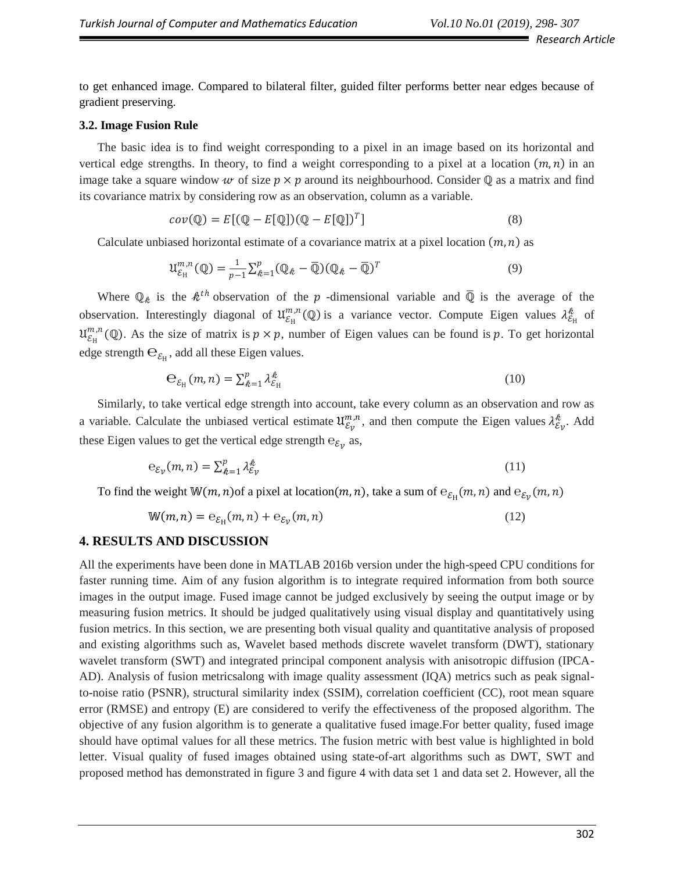to get enhanced image. Compared to bilateral filter, guided filter performs better near edges because of gradient preserving.

#### **3.2. Image Fusion Rule**

The basic idea is to find weight corresponding to a pixel in an image based on its horizontal and vertical edge strengths. In theory, to find a weight corresponding to a pixel at a location  $(m, n)$  in an image take a square window w of size  $p \times p$  around its neighbourhood. Consider  $\mathbb Q$  as a matrix and find its covariance matrix by considering row as an observation, column as a variable.

$$
cov(\mathbb{Q}) = E[(\mathbb{Q} - E[\mathbb{Q}])(\mathbb{Q} - E[\mathbb{Q}])^T]
$$
\n(8)

Calculate unbiased horizontal estimate of a covariance matrix at a pixel location  $(m, n)$  as

$$
\mathfrak{U}_{\mathcal{E}_{\mathrm{H}}}^{m,n}(\mathbb{Q}) = \frac{1}{p-1} \sum_{k=1}^{p} (\mathbb{Q}_k - \overline{\mathbb{Q}}) (\mathbb{Q}_k - \overline{\mathbb{Q}})^T
$$
\n(9)

Where  $\mathbb{Q}_k$  is the  $k^{th}$  observation of the p-dimensional variable and  $\overline{\mathbb{Q}}$  is the average of the observation. Interestingly diagonal of  $\mathfrak{U}^{m,n}_{\mathcal{E}_H}(\mathbb{Q})$  is a variance vector. Compute Eigen values  $\lambda^{\hat{\ell}}_{\mathcal{E}_H}$  of  $\mathfrak{U}^{m,n}_{\mathcal{E}_H}(\mathbb{Q})$ . As the size of matrix is  $p \times p$ , number of Eigen values can be found is p. To get horizontal edge strength  $\Theta_{\mathcal{E}_\mathrm{H}}$ , add all these Eigen values.

$$
\mathbf{e}_{\varepsilon_{\mathrm{H}}}(m,n) = \sum_{k=1}^{p} \lambda_{\varepsilon_{\mathrm{H}}}^{k}
$$
 (10)

Similarly, to take vertical edge strength into account, take every column as an observation and row as a variable. Calculate the unbiased vertical estimate  $\mathfrak{u}_{\varepsilon_v}^{m,n}$ , and then compute the Eigen values  $\lambda_{\varepsilon_v}^{\ell}$ . Add these Eigen values to get the vertical edge strength  $e_{\mathcal{E}y}$  as,

$$
e_{\mathcal{E}_{\mathcal{V}}}(m,n) = \sum_{k=1}^{p} \lambda_{\mathcal{E}_{\mathcal{V}}}^{k}
$$
 (11)

To find the weight  $W(m, n)$  of a pixel at location  $(m, n)$ , take a sum of  $e_{\mathcal{E}_H}(m, n)$  and  $e_{\mathcal{E}_V}(m, n)$ 

$$
W(m,n) = e_{\mathcal{E}_H}(m,n) + e_{\mathcal{E}_V}(m,n)
$$
\n(12)

#### **4. RESULTS AND DISCUSSION**

All the experiments have been done in MATLAB 2016b version under the high-speed CPU conditions for faster running time. Aim of any fusion algorithm is to integrate required information from both source images in the output image. Fused image cannot be judged exclusively by seeing the output image or by measuring fusion metrics. It should be judged qualitatively using visual display and quantitatively using fusion metrics. In this section, we are presenting both visual quality and quantitative analysis of proposed and existing algorithms such as, Wavelet based methods discrete wavelet transform (DWT), stationary wavelet transform (SWT) and integrated principal component analysis with anisotropic diffusion (IPCA-AD). Analysis of fusion metricsalong with image quality assessment (IQA) metrics such as peak signalto-noise ratio (PSNR), structural similarity index (SSIM), correlation coefficient (CC), root mean square error (RMSE) and entropy (E) are considered to verify the effectiveness of the proposed algorithm. The objective of any fusion algorithm is to generate a qualitative fused image.For better quality, fused image should have optimal values for all these metrics. The fusion metric with best value is highlighted in bold letter. Visual quality of fused images obtained using state-of-art algorithms such as DWT, SWT and proposed method has demonstrated in figure 3 and figure 4 with data set 1 and data set 2. However, all the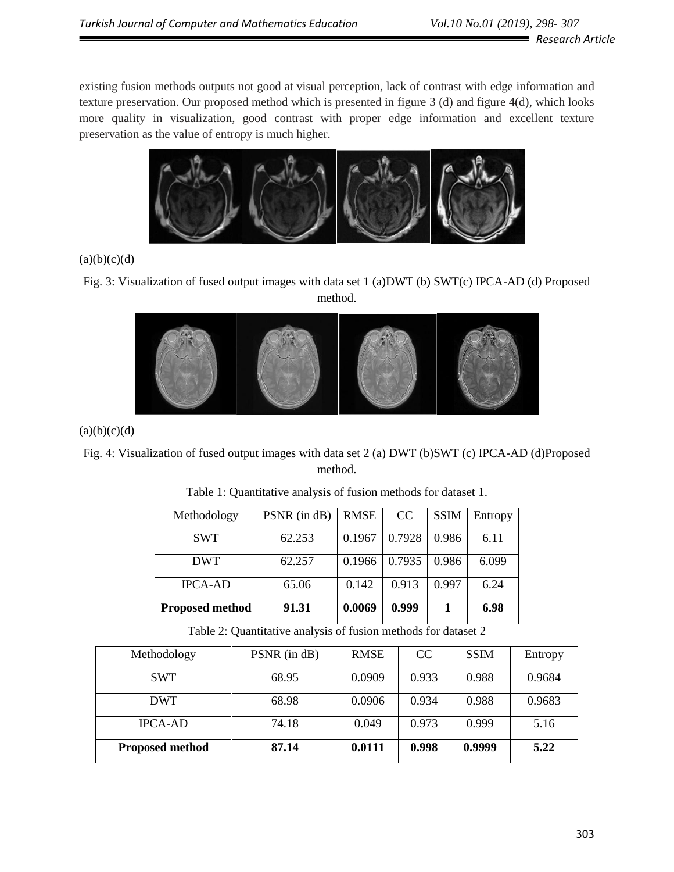existing fusion methods outputs not good at visual perception, lack of contrast with edge information and texture preservation. Our proposed method which is presented in figure 3 (d) and figure 4(d), which looks more quality in visualization, good contrast with proper edge information and excellent texture preservation as the value of entropy is much higher.



 $(a)(b)(c)(d)$ 

Fig. 3: Visualization of fused output images with data set 1 (a)DWT (b) SWT(c) IPCA-AD (d) Proposed method.



 $(a)(b)(c)(d)$ 

# Fig. 4: Visualization of fused output images with data set 2 (a) DWT (b)SWT (c) IPCA-AD (d)Proposed method.

| Methodology            | PSNR (in dB) | <b>RMSE</b> | CC     | <b>SSIM</b> | Entropy |
|------------------------|--------------|-------------|--------|-------------|---------|
| <b>SWT</b>             | 62.253       | 0.1967      | 0.7928 | 0.986       | 6.11    |
| <b>DWT</b>             | 62.257       | 0.1966      | 0.7935 | 0.986       | 6.099   |
| <b>IPCA-AD</b>         | 65.06        | 0.142       | 0.913  | 0.997       | 6.24    |
| <b>Proposed method</b> | 91.31        | 0.0069      | 0.999  |             | 6.98    |

| Table 1: Quantitative analysis of fusion methods for dataset 1. |  |  |  |
|-----------------------------------------------------------------|--|--|--|
|-----------------------------------------------------------------|--|--|--|

Table 2: Quantitative analysis of fusion methods for dataset 2

| Methodology            | PSNR (in dB) | <b>RMSE</b> | CC.   | <b>SSIM</b> | Entropy |
|------------------------|--------------|-------------|-------|-------------|---------|
| <b>SWT</b>             | 68.95        | 0.0909      | 0.933 | 0.988       | 0.9684  |
| <b>DWT</b>             | 68.98        | 0.0906      | 0.934 | 0.988       | 0.9683  |
| <b>IPCA-AD</b>         | 74.18        | 0.049       | 0.973 | 0.999       | 5.16    |
| <b>Proposed method</b> | 87.14        | 0.0111      | 0.998 | 0.9999      | 5.22    |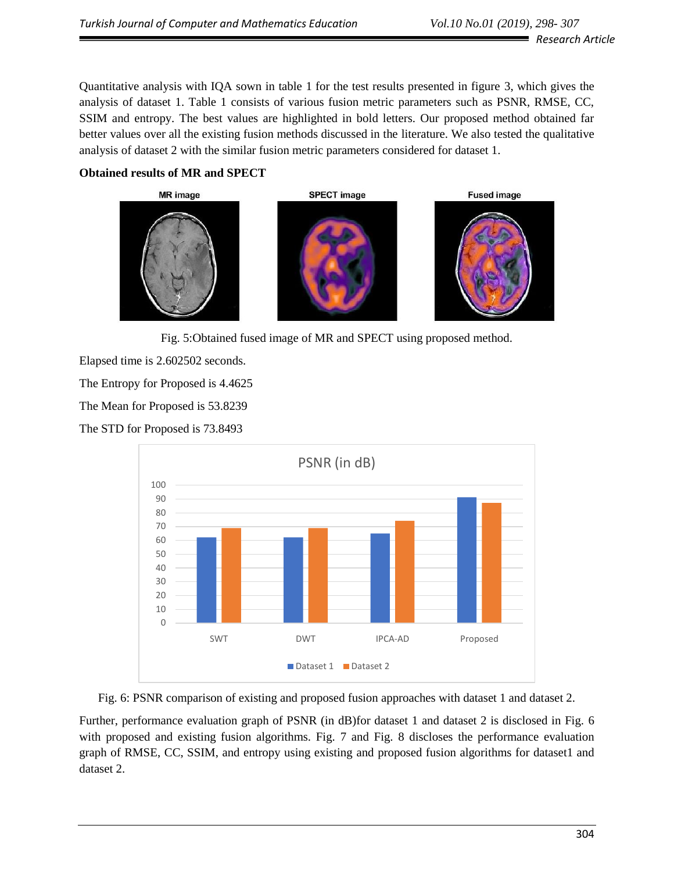Quantitative analysis with IQA sown in table 1 for the test results presented in figure 3, which gives the analysis of dataset 1. Table 1 consists of various fusion metric parameters such as PSNR, RMSE, CC, SSIM and entropy. The best values are highlighted in bold letters. Our proposed method obtained far better values over all the existing fusion methods discussed in the literature. We also tested the qualitative analysis of dataset 2 with the similar fusion metric parameters considered for dataset 1.

### **Obtained results of MR and SPECT**







Fig. 5:Obtained fused image of MR and SPECT using proposed method.

Elapsed time is 2.602502 seconds.

The Entropy for Proposed is 4.4625

The Mean for Proposed is 53.8239

The STD for Proposed is 73.8493



Fig. 6: PSNR comparison of existing and proposed fusion approaches with dataset 1 and dataset 2.

Further, performance evaluation graph of PSNR (in dB)for dataset 1 and dataset 2 is disclosed in Fig. 6 with proposed and existing fusion algorithms. Fig. 7 and Fig. 8 discloses the performance evaluation graph of RMSE, CC, SSIM, and entropy using existing and proposed fusion algorithms for dataset1 and dataset 2.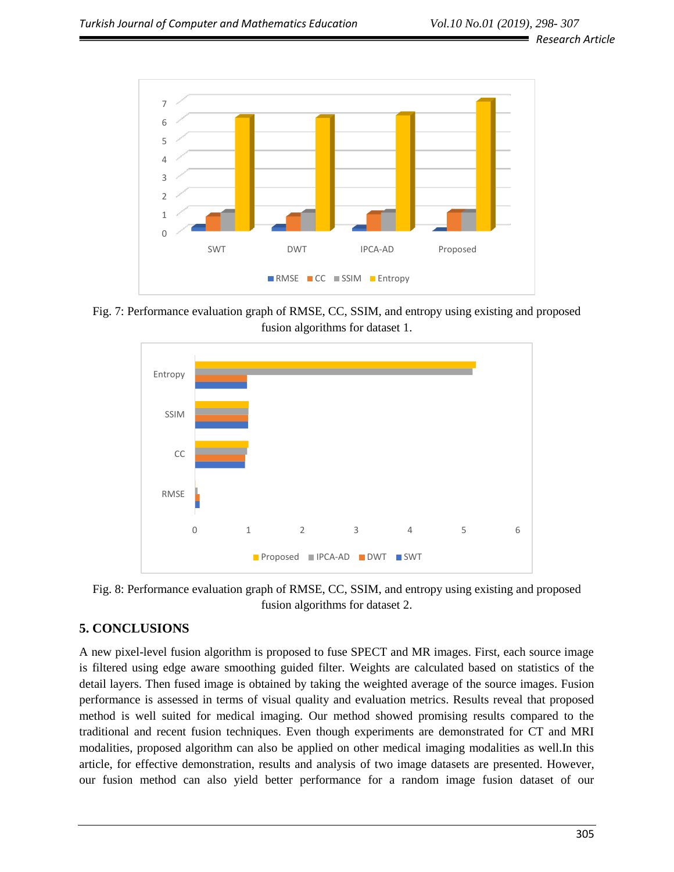*Research Article*



Fig. 7: Performance evaluation graph of RMSE, CC, SSIM, and entropy using existing and proposed fusion algorithms for dataset 1.



Fig. 8: Performance evaluation graph of RMSE, CC, SSIM, and entropy using existing and proposed fusion algorithms for dataset 2.

# **5. CONCLUSIONS**

A new pixel-level fusion algorithm is proposed to fuse SPECT and MR images. First, each source image is filtered using edge aware smoothing guided filter. Weights are calculated based on statistics of the detail layers. Then fused image is obtained by taking the weighted average of the source images. Fusion performance is assessed in terms of visual quality and evaluation metrics. Results reveal that proposed method is well suited for medical imaging. Our method showed promising results compared to the traditional and recent fusion techniques. Even though experiments are demonstrated for CT and MRI modalities, proposed algorithm can also be applied on other medical imaging modalities as well.In this article, for effective demonstration, results and analysis of two image datasets are presented. However, our fusion method can also yield better performance for a random image fusion dataset of our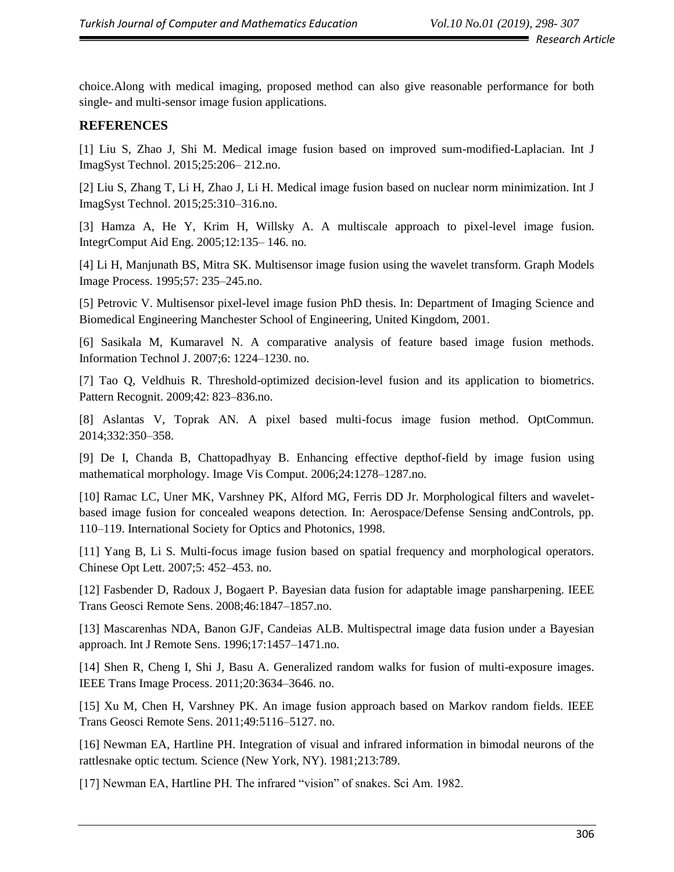■ *Research Article* 

choice.Along with medical imaging, proposed method can also give reasonable performance for both single- and multi-sensor image fusion applications.

## **REFERENCES**

[1] Liu S, Zhao J, Shi M. Medical image fusion based on improved sum-modified-Laplacian. Int J ImagSyst Technol. 2015;25:206– 212.no.

[2] Liu S, Zhang T, Li H, Zhao J, Li H. Medical image fusion based on nuclear norm minimization. Int J ImagSyst Technol. 2015;25:310–316.no.

[3] Hamza A, He Y, Krim H, Willsky A. A multiscale approach to pixel-level image fusion. IntegrComput Aid Eng. 2005;12:135– 146. no.

[4] Li H, Manjunath BS, Mitra SK. Multisensor image fusion using the wavelet transform. Graph Models Image Process. 1995;57: 235–245.no.

[5] Petrovic V. Multisensor pixel-level image fusion PhD thesis. In: Department of Imaging Science and Biomedical Engineering Manchester School of Engineering, United Kingdom, 2001.

[6] Sasikala M, Kumaravel N. A comparative analysis of feature based image fusion methods. Information Technol J. 2007;6: 1224–1230. no.

[7] Tao Q, Veldhuis R. Threshold-optimized decision-level fusion and its application to biometrics. Pattern Recognit. 2009;42: 823–836.no.

[8] Aslantas V, Toprak AN. A pixel based multi-focus image fusion method. OptCommun. 2014;332:350–358.

[9] De I, Chanda B, Chattopadhyay B. Enhancing effective depthof-field by image fusion using mathematical morphology. Image Vis Comput. 2006;24:1278–1287.no.

[10] Ramac LC, Uner MK, Varshney PK, Alford MG, Ferris DD Jr. Morphological filters and waveletbased image fusion for concealed weapons detection. In: Aerospace/Defense Sensing andControls, pp. 110–119. International Society for Optics and Photonics, 1998.

[11] Yang B, Li S. Multi-focus image fusion based on spatial frequency and morphological operators. Chinese Opt Lett. 2007;5: 452–453. no.

[12] Fasbender D, Radoux J, Bogaert P. Bayesian data fusion for adaptable image pansharpening. IEEE Trans Geosci Remote Sens. 2008;46:1847–1857.no.

[13] Mascarenhas NDA, Banon GJF, Candeias ALB. Multispectral image data fusion under a Bayesian approach. Int J Remote Sens. 1996;17:1457–1471.no.

[14] Shen R, Cheng I, Shi J, Basu A. Generalized random walks for fusion of multi-exposure images. IEEE Trans Image Process. 2011;20:3634–3646. no.

[15] Xu M, Chen H, Varshney PK. An image fusion approach based on Markov random fields. IEEE Trans Geosci Remote Sens. 2011;49:5116–5127. no.

[16] Newman EA, Hartline PH. Integration of visual and infrared information in bimodal neurons of the rattlesnake optic tectum. Science (New York, NY). 1981;213:789.

[17] Newman EA, Hartline PH. The infrared "vision" of snakes. Sci Am. 1982.